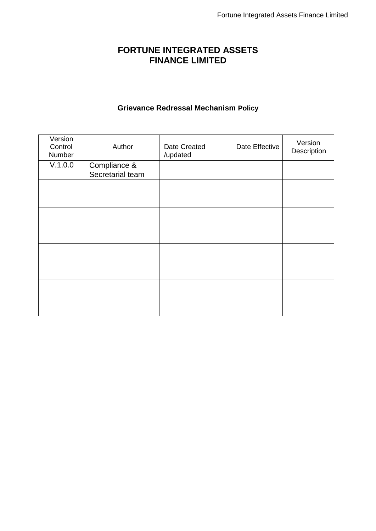# **FORTUNE INTEGRATED ASSETS FINANCE LIMITED**

## **Grievance Redressal Mechanism Policy**

| Version<br>Control<br>Number | Author                           | Date Created<br>/updated | Date Effective | Version<br>Description |
|------------------------------|----------------------------------|--------------------------|----------------|------------------------|
| V.1.0.0                      | Compliance &<br>Secretarial team |                          |                |                        |
|                              |                                  |                          |                |                        |
|                              |                                  |                          |                |                        |
|                              |                                  |                          |                |                        |
|                              |                                  |                          |                |                        |
|                              |                                  |                          |                |                        |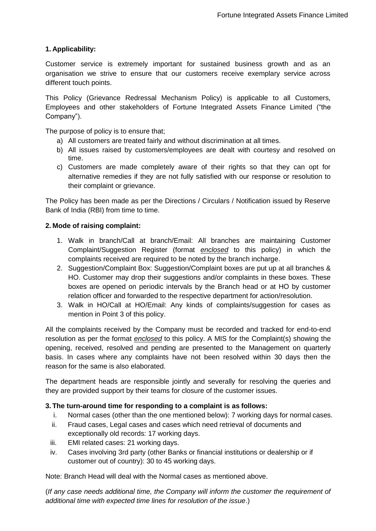## **1. Applicability:**

Customer service is extremely important for sustained business growth and as an organisation we strive to ensure that our customers receive exemplary service across different touch points.

This Policy (Grievance Redressal Mechanism Policy) is applicable to all Customers, Employees and other stakeholders of Fortune Integrated Assets Finance Limited ("the Company").

The purpose of policy is to ensure that;

- a) All customers are treated fairly and without discrimination at all times.
- b) All issues raised by customers/employees are dealt with courtesy and resolved on time.
- c) Customers are made completely aware of their rights so that they can opt for alternative remedies if they are not fully satisfied with our response or resolution to their complaint or grievance.

The Policy has been made as per the Directions / Circulars / Notification issued by Reserve Bank of India (RBI) from time to time.

#### **2. Mode of raising complaint:**

- 1. Walk in branch/Call at branch/Email: All branches are maintaining Customer Complaint/Suggestion Register (format *enclosed* to this policy) in which the complaints received are required to be noted by the branch incharge.
- 2. Suggestion/Complaint Box: Suggestion/Complaint boxes are put up at all branches & HO. Customer may drop their suggestions and/or complaints in these boxes. These boxes are opened on periodic intervals by the Branch head or at HO by customer relation officer and forwarded to the respective department for action/resolution.
- 3. Walk in HO/Call at HO/Email: Any kinds of complaints/suggestion for cases as mention in Point 3 of this policy.

All the complaints received by the Company must be recorded and tracked for end-to-end resolution as per the format *enclosed* to this policy. A MIS for the Complaint(s) showing the opening, received, resolved and pending are presented to the Management on quarterly basis. In cases where any complaints have not been resolved within 30 days then the reason for the same is also elaborated.

The department heads are responsible jointly and severally for resolving the queries and they are provided support by their teams for closure of the customer issues.

#### **3. The turn-around time for responding to a complaint is as follows:**

- i. Normal cases (other than the one mentioned below): 7 working days for normal cases.
- ii. Fraud cases, Legal cases and cases which need retrieval of documents and exceptionally old records: 17 working days.
- iii. EMI related cases: 21 working days.
- iv. Cases involving 3rd party (other Banks or financial institutions or dealership or if customer out of country): 30 to 45 working days.

Note: Branch Head will deal with the Normal cases as mentioned above.

(*If any case needs additional time, the Company will inform the customer the requirement of additional time with expected time lines for resolution of the issue*.)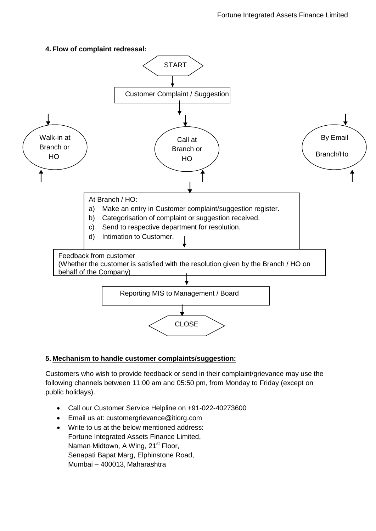### **4. Flow of complaint redressal:**



#### **5. Mechanism to handle customer complaints/suggestion:**

Customers who wish to provide feedback or send in their complaint/grievance may use the following channels between 11:00 am and 05:50 pm, from Monday to Friday (except on public holidays).

- Call our Customer Service Helpline on +91-022-40273600
- Email us at: [customergrievance@itiorg.com](mailto:customergrievance@itiorg.com)
- Write to us at the below mentioned address: Fortune Integrated Assets Finance Limited, Naman Midtown, A Wing, 21<sup>st</sup> Floor, Senapati Bapat Marg, Elphinstone Road, Mumbai – 400013, Maharashtra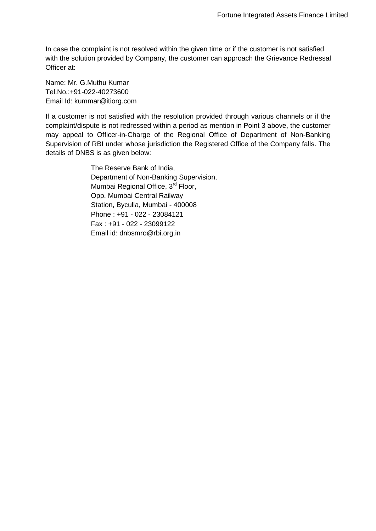In case the complaint is not resolved within the given time or if the customer is not satisfied with the solution provided by Company, the customer can approach the Grievance Redressal Officer at:

Name: Mr. G.Muthu Kumar Tel.No.:+91-022-40273600 Email Id: [kummar@itiorg.com](mailto:kummar@itiorg.com)

If a customer is not satisfied with the resolution provided through various channels or if the complaint/dispute is not redressed within a period as mention in Point 3 above, the customer may appeal to Officer-in-Charge of the Regional Office of Department of Non-Banking Supervision of RBI under whose jurisdiction the Registered Office of the Company falls. The details of DNBS is as given below:

> The Reserve Bank of India, Department of Non-Banking Supervision, Mumbai Regional Office, 3<sup>rd</sup> Floor, Opp. Mumbai Central Railway Station, Byculla, Mumbai - 400008 Phone : +91 - 022 - 23084121 Fax : +91 - 022 - 23099122 Email id: [dnbsmro@rbi.org.in](mailto:dnbsmro@rbi.org.in)